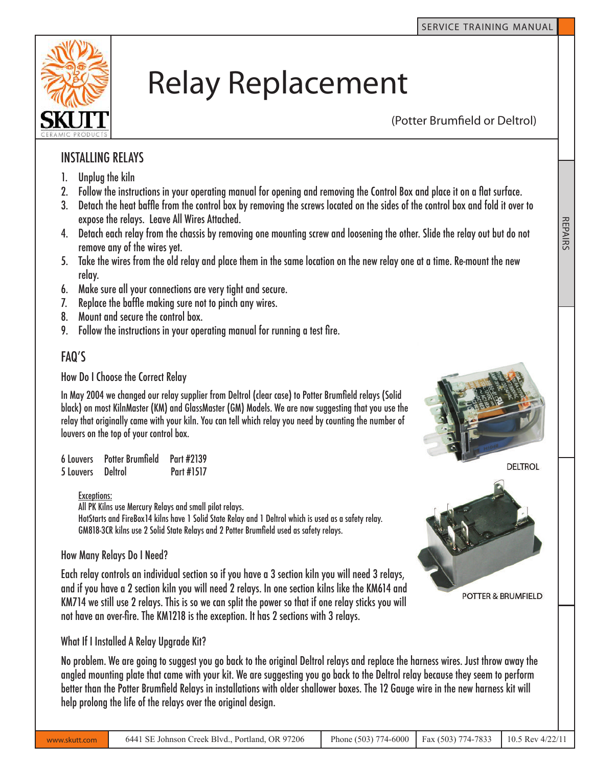

# Relay Replacement<br>
(Potter Brumfield or Deltrol)

# Installing Relays

- 1. Unplug the kiln
- 2. Follow the instructions in your operating manual for opening and removing the Control Box and place it on a flat surface.
- 3. Detach the heat baffle from the control box by removing the screws located on the sides of the control box and fold it over to expose the relays. Leave All Wires Attached.
- 4. Detach each relay from the chassis by removing one mounting screw and loosening the other. Slide the relay out but do not remove any of the wires yet.
- 5. Take the wires from the old relay and place them in the same location on the new relay one at a time. Re-mount the new relay.
- 6. Make sure all your connections are very tight and secure.
- 7. Replace the baffle making sure not to pinch any wires.
- 8. Mount and secure the control box.
- 9. Follow the instructions in your operating manual for running a test fire.

# FAQ's

## How Do I Choose the Correct Relay

In May 2004 we changed our relay supplier from Deltrol (clear case) to Potter Brumfield relays (Solid black) on most KilnMaster (KM) and GlassMaster (GM) Models. We are now suggesting that you use the relay that originally came with your kiln. You can tell which relay you need by counting the number of louvers on the top of your control box.

6 Louvers Potter Brumfield Part #2139 5 Louvers Deltrol Part #1517

## Exceptions:

All PK Kilns use Mercury Relays and small pilot relays. HotStarts and FireBox14 kilns have 1 Solid State Relay and 1 Deltrol which is used as a safety relay. GM818-3CR kilns use 2 Solid State Relays and 2 Potter Brumfield used as safety relays.

## How Many Relays Do I Need?

Each relay controls an individual section so if you have a 3 section kiln you will need 3 relays, and if you have a 2 section kiln you will need 2 relays. In one section kilns like the KM614 and KM714 we still use 2 relays. This is so we can split the power so that if one relay sticks you will not have an over-fire. The KM1218 is the exception. It has 2 sections with 3 relays.

## What If I Installed A Relay Upgrade Kit?

**EXERCT SECTION CONTROLL CONTROLL CONTROLL CONTROLL CONTROLL CONTROLL CONTROLL CONTROLL CONTROLL CONTROLL CONTROLL CONTROLL CONTROLL CONTROLL CONTROLL CONTROLL CONTROLL CONTROLL CONTROLL CONTROLL CONTROLL CONTROLL CONTROL** No problem. We are going to suggest you go back to the original Deltrol relays and replace the harness wires. Just throw away the angled mounting plate that came with your kit. We are suggesting you go back to the Deltrol relay because they seem to perform better than the Potter Brumfield Relays in installations with older shallower boxes. The 12 Gauge wire in the new harness kit will help prolong the life of the relays over the original design.



**REPAIRS**